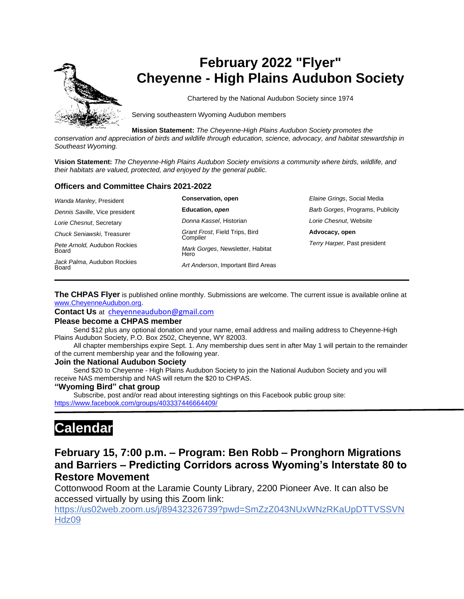

# **February 2022 "Flyer" Cheyenne - High Plains Audubon Society**

Chartered by the National Audubon Society since 1974

Serving southeastern Wyoming Audubon members

**Mission Statement:** *The Cheyenne-High Plains Audubon Society promotes the* 

*conservation and appreciation of birds and wildlife through education, science, advocacy, and habitat stewardship in Southeast Wyoming.*

**Vision Statement:** *The Cheyenne-High Plains Audubon Society envisions a community where birds, wildlife, and their habitats are valued, protected, and enjoyed by the general public.*

#### **Officers and Committee Chairs 2021-2022**

| Wanda Manley, President               | <b>Conservation, open</b>                  | Elaine Grings, Social Media      |
|---------------------------------------|--------------------------------------------|----------------------------------|
| Dennis Saville, Vice president        | Education, open                            | Barb Gorges, Programs, Publicity |
| Lorie Chesnut, Secretary              | Donna Kassel, Historian                    | Lorie Chesnut, Website           |
| Chuck Seniawski. Treasurer            | Grant Frost, Field Trips, Bird<br>Compiler | Advocacy, open                   |
| Pete Arnold, Audubon Rockies<br>Board | Mark Gorges, Newsletter, Habitat<br>Hero   | Terry Harper, Past president     |
| Jack Palma, Audubon Rockies<br>Board  | Art Anderson, Important Bird Areas         |                                  |

**The CHPAS Flyer** is published online monthly. Submissions are welcome. The current issue is available online at [www.CheyenneAudubon.org.](http://www.cheyenneaudubon.org/)

**Contact Us** at [cheyenneaudubon@gmail.com](mailto:cheyenneaudubon@gmail.com)

#### **Please become a CHPAS member**

 Send \$12 plus any optional donation and your name, email address and mailing address to Cheyenne-High Plains Audubon Society, P.O. Box 2502, Cheyenne, WY 82003.

 All chapter memberships expire Sept. 1. Any membership dues sent in after May 1 will pertain to the remainder of the current membership year and the following year.

#### **Join the National Audubon Society**

 Send \$20 to Cheyenne - High Plains Audubon Society to join the National Audubon Society and you will receive NAS membership and NAS will return the \$20 to CHPAS.

#### **"Wyoming Bird" chat group**

 Subscribe, post and/or read about interesting sightings on this Facebook public group site: <https://www.facebook.com/groups/403337446664409/>

# **Calendar**

# **February 15, 7:00 p.m. – Program: Ben Robb – Pronghorn Migrations and Barriers – Predicting Corridors across Wyoming's Interstate 80 to Restore Movement**

Cottonwood Room at the Laramie County Library, 2200 Pioneer Ave. It can also be accessed virtually by using this Zoom link:

[https://us02web.zoom.us/j/89432326739?pwd=SmZzZ043NUxWNzRKaUpDTTVSSVN](https://us02web.zoom.us/j/89432326739?pwd=SmZzZ043NUxWNzRKaUpDTTVSSVNHdz09) [Hdz09](https://us02web.zoom.us/j/89432326739?pwd=SmZzZ043NUxWNzRKaUpDTTVSSVNHdz09)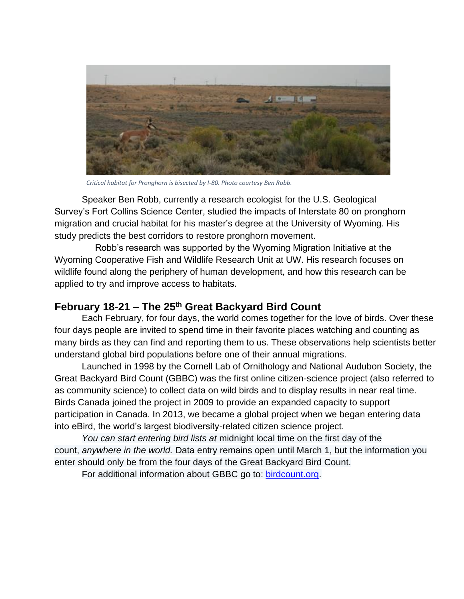

*Critical habitat for Pronghorn is bisected by I-80. Photo courtesy Ben Robb.*

Speaker Ben Robb, currently a research ecologist for the U.S. Geological Survey's Fort Collins Science Center, studied the impacts of Interstate 80 on pronghorn migration and crucial habitat for his master's degree at the University of Wyoming. His study predicts the best corridors to restore pronghorn movement.

 Robb's research was supported by the Wyoming Migration Initiative at the Wyoming Cooperative Fish and Wildlife Research Unit at UW. His research focuses on wildlife found along the periphery of human development, and how this research can be applied to try and improve access to habitats.

## **February 18-21 – The 25th Great Backyard Bird Count**

Each February, for four days, the world comes together for the love of birds. Over these four days people are invited to spend time in their favorite places watching and counting as many birds as they can find and reporting them to us. These observations help scientists better understand global bird populations before one of their annual migrations.

Launched in 1998 by the Cornell Lab of Ornithology and National Audubon Society, the Great Backyard Bird Count (GBBC) was the first online citizen-science project (also referred to as [community science\)](https://www.audubon.org/about/edi) to collect data on wild birds and to display results in near real time. Birds Canada joined the project in 2009 to provide an expanded capacity to support participation in Canada. In 2013, we became a global project when we began entering data into eBird, the world's largest biodiversity-related citizen science project.

*You can start entering bird lists at* midnight local time on the first day of the count, *anywhere in the world.* Data entry remains open until March 1, but the information you enter should only be from the four days of the Great Backyard Bird Count.

For additional information about GBBC go to: [birdcount.org.](file:///C:/Users/mgorges.000/Documents/Audubon/2022%20Documents/birdcount.org)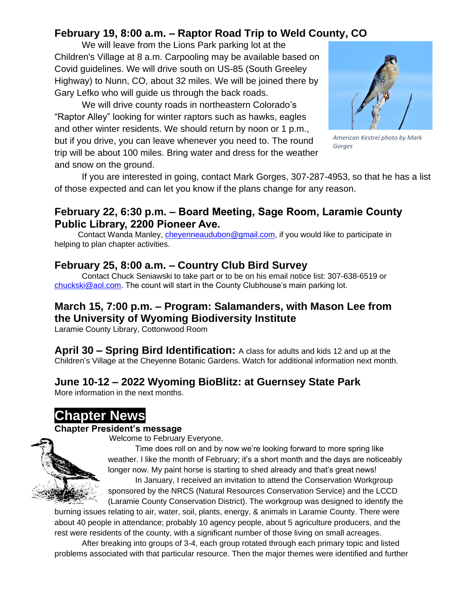# **February 19, 8:00 a.m. – Raptor Road Trip to Weld County, CO**

We will leave from the Lions Park parking lot at the Children's Village at 8 a.m. Carpooling may be available based on Covid guidelines. We will drive south on US-85 (South Greeley Highway) to Nunn, CO, about 32 miles. We will be joined there by Gary Lefko who will guide us through the back roads.

We will drive county roads in northeastern Colorado's "Raptor Alley" looking for winter raptors such as hawks, eagles and other winter residents. We should return by noon or 1 p.m., but if you drive, you can leave whenever you need to. The round trip will be about 100 miles. Bring water and dress for the weather and snow on the ground.



*American Kestrel photo by Mark Gorges*

If you are interested in going, contact Mark Gorges, 307-287-4953, so that he has a list of those expected and can let you know if the plans change for any reason.

## **February 22, 6:30 p.m. – Board Meeting, Sage Room, Laramie County Public Library, 2200 Pioneer Ave.**

Contact Wanda Manley, [cheyenneaudubon@gmail.com,](mailto:cheyenneaudubon@gmail.com) if you would like to participate in helping to plan chapter activities.

## **February 25, 8:00 a.m. – Country Club Bird Survey**

Contact Chuck Seniawski to take part or to be on his email notice list: 307-638-6519 or [chuckski@aol.com.](mailto:chuckski@aol.com) The count will start in the County Clubhouse's main parking lot.

# **March 15, 7:00 p.m. – Program: Salamanders, with Mason Lee from the University of Wyoming Biodiversity Institute**

Laramie County Library, Cottonwood Room

**April 30 – Spring Bird Identification:** A class for adults and kids 12 and up at the Children's Village at the Cheyenne Botanic Gardens. Watch for additional information next month.

# **June 10-12 – 2022 Wyoming BioBlitz: at Guernsey State Park**

More information in the next months.

# **Chapter News**

## **Chapter President's message**

Welcome to February Everyone,

Time does roll on and by now we're looking forward to more spring like weather. I like the month of February; it's a short month and the days are noticeably longer now. My paint horse is starting to shed already and that's great news! In January, I received an invitation to attend the Conservation Workgroup

sponsored by the NRCS (Natural Resources Conservation Service) and the LCCD (Laramie County Conservation District). The workgroup was designed to identify the

burning issues relating to air, water, soil, plants, energy, & animals in Laramie County. There were about 40 people in attendance; probably 10 agency people, about 5 agriculture producers, and the rest were residents of the county, with a significant number of those living on small acreages.

After breaking into groups of 3-4, each group rotated through each primary topic and listed problems associated with that particular resource. Then the major themes were identified and further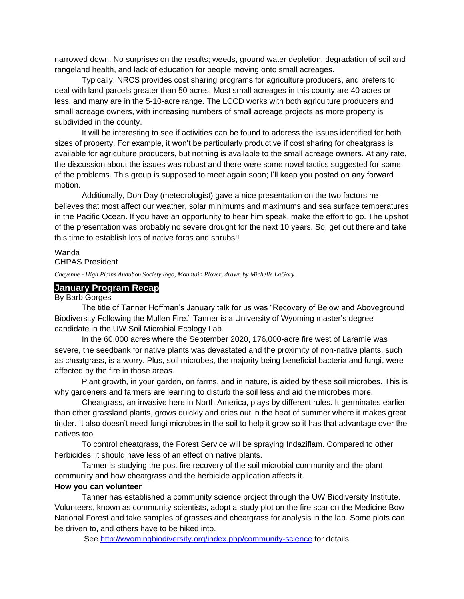narrowed down. No surprises on the results; weeds, ground water depletion, degradation of soil and rangeland health, and lack of education for people moving onto small acreages.

Typically, NRCS provides cost sharing programs for agriculture producers, and prefers to deal with land parcels greater than 50 acres. Most small acreages in this county are 40 acres or less, and many are in the 5-10-acre range. The LCCD works with both agriculture producers and small acreage owners, with increasing numbers of small acreage projects as more property is subdivided in the county.

It will be interesting to see if activities can be found to address the issues identified for both sizes of property. For example, it won't be particularly productive if cost sharing for cheatgrass is available for agriculture producers, but nothing is available to the small acreage owners. At any rate, the discussion about the issues was robust and there were some novel tactics suggested for some of the problems. This group is supposed to meet again soon; I'll keep you posted on any forward motion.

Additionally, Don Day (meteorologist) gave a nice presentation on the two factors he believes that most affect our weather, solar minimums and maximums and sea surface temperatures in the Pacific Ocean. If you have an opportunity to hear him speak, make the effort to go. The upshot of the presentation was probably no severe drought for the next 10 years. So, get out there and take this time to establish lots of native forbs and shrubs!!

### Wanda

CHPAS President

*Cheyenne - High Plains Audubon Society logo, Mountain Plover, drawn by Michelle LaGory.*

#### **January Program Recap**

#### By Barb Gorges

The title of Tanner Hoffman's January talk for us was "Recovery of Below and Aboveground Biodiversity Following the Mullen Fire." Tanner is a University of Wyoming master's degree candidate in the UW Soil Microbial Ecology Lab.

In the 60,000 acres where the September 2020, 176,000-acre fire west of Laramie was severe, the seedbank for native plants was devastated and the proximity of non-native plants, such as cheatgrass, is a worry. Plus, soil microbes, the majority being beneficial bacteria and fungi, were affected by the fire in those areas.

Plant growth, in your garden, on farms, and in nature, is aided by these soil microbes. This is why gardeners and farmers are learning to disturb the soil less and aid the microbes more.

Cheatgrass, an invasive here in North America, plays by different rules. It germinates earlier than other grassland plants, grows quickly and dries out in the heat of summer where it makes great tinder. It also doesn't need fungi microbes in the soil to help it grow so it has that advantage over the natives too.

To control cheatgrass, the Forest Service will be spraying Indaziflam. Compared to other herbicides, it should have less of an effect on native plants.

Tanner is studying the post fire recovery of the soil microbial community and the plant community and how cheatgrass and the herbicide application affects it.

### **How you can volunteer**

Tanner has established a community science project through the UW Biodiversity Institute. Volunteers, known as community scientists, adopt a study plot on the fire scar on the Medicine Bow National Forest and take samples of grasses and cheatgrass for analysis in the lab. Some plots can be driven to, and others have to be hiked into.

See<http://wyomingbiodiversity.org/index.php/community-science> for details.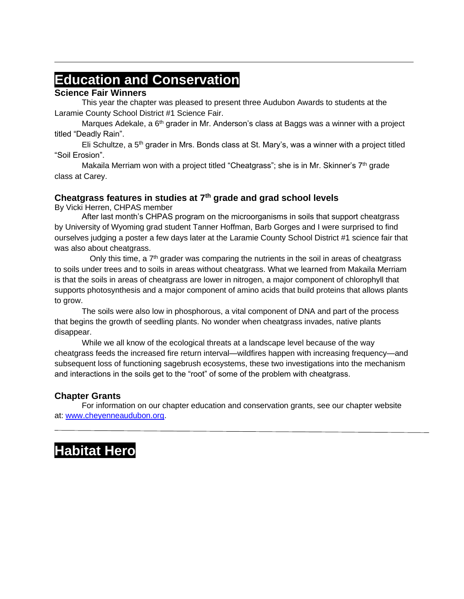# **Education and Conservation**

## **Science Fair Winners**

This year the chapter was pleased to present three Audubon Awards to students at the Laramie County School District #1 Science Fair.

Marques Adekale, a  $6<sup>th</sup>$  grader in Mr. Anderson's class at Baggs was a winner with a project titled "Deadly Rain".

Eli Schultze, a 5<sup>th</sup> grader in Mrs. Bonds class at St. Mary's, was a winner with a project titled "Soil Erosion".

Makaila Merriam won with a project titled "Cheatgrass"; she is in Mr. Skinner's  $7<sup>th</sup>$  grade class at Carey.

### **Cheatgrass features in studies at 7th grade and grad school levels**

By Vicki Herren, CHPAS member

After last month's CHPAS program on the microorganisms in soils that support cheatgrass by University of Wyoming grad student Tanner Hoffman, Barb Gorges and I were surprised to find ourselves judging a poster a few days later at the Laramie County School District #1 science fair that was also about cheatgrass.

Only this time, a  $7<sup>th</sup>$  grader was comparing the nutrients in the soil in areas of cheatgrass to soils under trees and to soils in areas without cheatgrass. What we learned from Makaila Merriam is that the soils in areas of cheatgrass are lower in nitrogen, a major component of chlorophyll that supports photosynthesis and a major component of amino acids that build proteins that allows plants to grow.

The soils were also low in phosphorous, a vital component of DNA and part of the process that begins the growth of seedling plants. No wonder when cheatgrass invades, native plants disappear.

While we all know of the ecological threats at a landscape level because of the way cheatgrass feeds the increased fire return interval—wildfires happen with increasing frequency—and subsequent loss of functioning sagebrush ecosystems, these two investigations into the mechanism and interactions in the soils get to the "root" of some of the problem with cheatgrass.

## **Chapter Grants**

For information on our chapter education and conservation grants, see our chapter website at: [www.cheyenneaudubon.org.](http://www.cheyenneaudubon.org/)

# **Habitat Hero**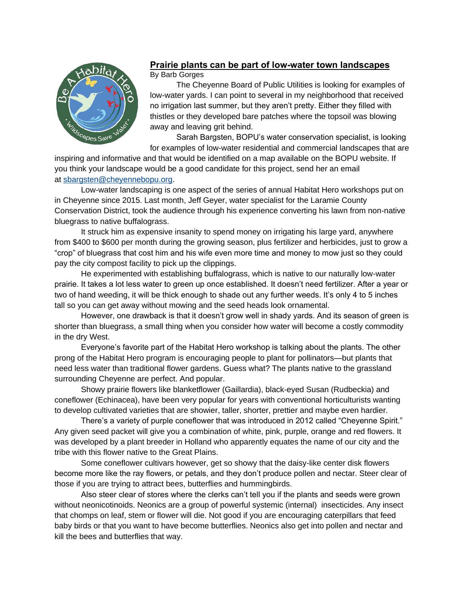

## **Prairie plants can be part of low-water town landscapes** By Barb Gorges

 The Cheyenne Board of Public Utilities is looking for examples of low-water yards. I can point to several in my neighborhood that received no irrigation last summer, but they aren't pretty. Either they filled with thistles or they developed bare patches where the topsoil was blowing away and leaving grit behind.

 Sarah Bargsten, BOPU's water conservation specialist, is looking for examples of low-water residential and commercial landscapes that are

inspiring and informative and that would be identified on a map available on the BOPU website. If you think your landscape would be a good candidate for this project, send her an email at [sbargsten@cheyennebopu.org.](https://webmailb.juno.com/webmail/new/5?session_redirect=true&userinfo=70b6f59402effea0de4196f98a9e6457&count=1643769139&cf=sp&randid=1909179303)

 Low-water landscaping is one aspect of the series of annual Habitat Hero workshops put on in Cheyenne since 2015. Last month, Jeff Geyer, water specialist for the Laramie County Conservation District, took the audience through his experience converting his lawn from non-native bluegrass to native buffalograss.

 It struck him as expensive insanity to spend money on irrigating his large yard, anywhere from \$400 to \$600 per month during the growing season, plus fertilizer and herbicides, just to grow a "crop" of bluegrass that cost him and his wife even more time and money to mow just so they could pay the city compost facility to pick up the clippings.

 He experimented with establishing buffalograss, which is native to our naturally low-water prairie. It takes a lot less water to green up once established. It doesn't need fertilizer. After a year or two of hand weeding, it will be thick enough to shade out any further weeds. It's only 4 to 5 inches tall so you can get away without mowing and the seed heads look ornamental.

 However, one drawback is that it doesn't grow well in shady yards. And its season of green is shorter than bluegrass, a small thing when you consider how water will become a costly commodity in the dry West.

 Everyone's favorite part of the Habitat Hero workshop is talking about the plants. The other prong of the Habitat Hero program is encouraging people to plant for pollinators—but plants that need less water than traditional flower gardens. Guess what? The plants native to the grassland surrounding Cheyenne are perfect. And popular.

 Showy prairie flowers like blanketflower (Gaillardia), black-eyed Susan (Rudbeckia) and coneflower (Echinacea), have been very popular for years with conventional horticulturists wanting to develop cultivated varieties that are showier, taller, shorter, prettier and maybe even hardier.

 There's a variety of purple coneflower that was introduced in 2012 called "Cheyenne Spirit." Any given seed packet will give you a combination of white, pink, purple, orange and red flowers. It was developed by a plant breeder in Holland who apparently equates the name of our city and the tribe with this flower native to the Great Plains.

 Some coneflower cultivars however, get so showy that the daisy-like center disk flowers become more like the ray flowers, or petals, and they don't produce pollen and nectar. Steer clear of those if you are trying to attract bees, butterflies and hummingbirds.

 Also steer clear of stores where the clerks can't tell you if the plants and seeds were grown without neonicotinoids. Neonics are a group of powerful systemic (internal) insecticides. Any insect that chomps on leaf, stem or flower will die. Not good if you are encouraging caterpillars that feed baby birds or that you want to have become butterflies. Neonics also get into pollen and nectar and kill the bees and butterflies that way.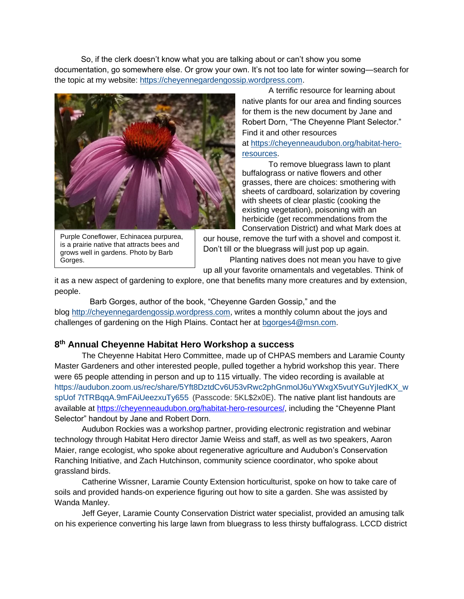So, if the clerk doesn't know what you are talking about or can't show you some documentation, go somewhere else. Or grow your own. It's not too late for winter sowing—search for the topic at my website: [https://cheyennegardengossip.wordpress.com.](https://cheyennegardengossip.wordpress.com/)



Purple Coneflower, Echinacea purpurea, is a prairie native that attracts bees and grows well in gardens. Photo by Barb Gorges.

 A terrific resource for learning about native plants for our area and finding sources for them is the new document by Jane and Robert Dorn, "The Cheyenne Plant Selector." Find it and other resources at [https://cheyenneaudubon.org/habitat-hero](https://cheyenneaudubon.org/habitat-hero-resources)[resources.](https://cheyenneaudubon.org/habitat-hero-resources)

 To remove bluegrass lawn to plant buffalograss or native flowers and other grasses, there are choices: smothering with sheets of cardboard, solarization by covering with sheets of clear plastic (cooking the existing vegetation), poisoning with an herbicide (get recommendations from the Conservation District) and what Mark does at

our house, remove the turf with a shovel and compost it. Don't till or the bluegrass will just pop up again. Planting natives does not mean you have to give

up all your favorite ornamentals and vegetables. Think of

it as a new aspect of gardening to explore, one that benefits many more creatures and by extension, people.

 Barb Gorges, author of the book, "Cheyenne Garden Gossip," and the blog [http://cheyennegardengossip.wordpress.com,](http://cheyennegardengossip.wordpress.comw/) writes a monthly column about the joys and challenges of gardening on the High Plains. Contact her at [bgorges4@msn.com.](https://webmailb.juno.com/webmail/new/5?session_redirect=true&userinfo=70b6f59402effea0de4196f98a9e6457&count=1643769139&cf=sp&randid=1909179303)

### **8 th Annual Cheyenne Habitat Hero Workshop a success**

The Cheyenne Habitat Hero Committee, made up of CHPAS members and Laramie County Master Gardeners and other interested people, pulled together a hybrid workshop this year. There were 65 people attending in person and up to 115 virtually. The video recording is available at [https://audubon.zoom.us/rec/share/5Yft8DztdCv6U53vRwc2phGnmolJ6uYWxgX5vutYGuYjIedKX\\_w](https://audubon.zoom.us/rec/share/5Yft8DztdCv6U53vRwc2phGnmolJ6uYWxgX5vutYGuYjIedKX_wspUof7tTRBqqA.9mFAiUeezxuTy655) [spUof 7tTRBqqA.9mFAiUeezxuTy655](https://audubon.zoom.us/rec/share/5Yft8DztdCv6U53vRwc2phGnmolJ6uYWxgX5vutYGuYjIedKX_wspUof7tTRBqqA.9mFAiUeezxuTy655) (Passcode: 5KL\$2x0E). The native plant list handouts are available at [https://cheyenneaudubon.org/habitat-hero-resources/,](https://cheyenneaudubon.org/habitat-hero-resources/) including the "Cheyenne Plant Selector" handout by Jane and Robert Dorn.

Audubon Rockies was a workshop partner, providing electronic registration and webinar technology through Habitat Hero director Jamie Weiss and staff, as well as two speakers, Aaron Maier, range ecologist, who spoke about regenerative agriculture and Audubon's Conservation Ranching Initiative, and Zach Hutchinson, community science coordinator, who spoke about grassland birds.

Catherine Wissner, Laramie County Extension horticulturist, spoke on how to take care of soils and provided hands-on experience figuring out how to site a garden. She was assisted by Wanda Manley.

Jeff Geyer, Laramie County Conservation District water specialist, provided an amusing talk on his experience converting his large lawn from bluegrass to less thirsty buffalograss. LCCD district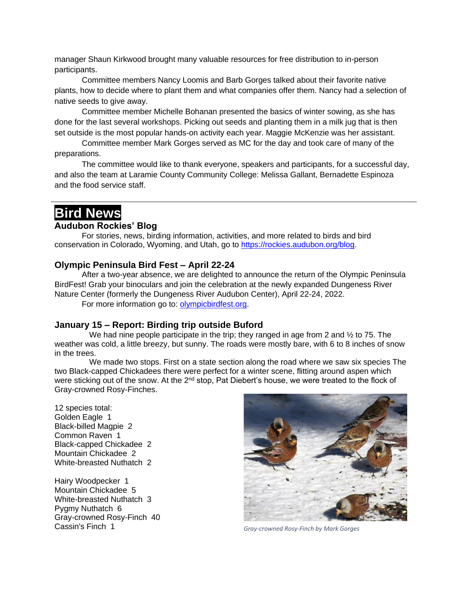manager Shaun Kirkwood brought many valuable resources for free distribution to in-person participants.

Committee members Nancy Loomis and Barb Gorges talked about their favorite native plants, how to decide where to plant them and what companies offer them. Nancy had a selection of native seeds to give away.

Committee member Michelle Bohanan presented the basics of winter sowing, as she has done for the last several workshops. Picking out seeds and planting them in a milk jug that is then set outside is the most popular hands-on activity each year. Maggie McKenzie was her assistant.

Committee member Mark Gorges served as MC for the day and took care of many of the preparations.

The committee would like to thank everyone, speakers and participants, for a successful day, and also the team at Laramie County Community College: Melissa Gallant, Bernadette Espinoza and the food service staff.

# **Bird News**

### **Audubon Rockies' Blog**

For stories, news, birding information, activities, and more related to birds and bird conservation in Colorado, Wyoming, and Utah, go to<https://rockies.audubon.org/blog.>

### **Olympic Peninsula Bird Fest – April 22-24**

After a two-year absence, we are delighted to announce the return of the Olympic Peninsula BirdFest! Grab your binoculars and join the celebration at the newly expanded Dungeness River Nature Center (formerly the Dungeness River Audubon Center), April 22-24, 2022.

For more information go to: [olympicbirdfest.org.](file:///C:/Users/mgorges.000/Documents/Audubon/2022%20Documents/www.olympicbirdfest.org)

#### **January 15 – Report: Birding trip outside Buford**

We had nine people participate in the trip; they ranged in age from 2 and  $\frac{1}{2}$  to 75. The weather was cold, a little breezy, but sunny. The roads were mostly bare, with 6 to 8 inches of snow in the trees.

We made two stops. First on a state section along the road where we saw six species The two Black-capped Chickadees there were perfect for a winter scene, flitting around aspen which were sticking out of the snow. At the 2<sup>nd</sup> stop, Pat Diebert's house, we were treated to the flock of Gray-crowned Rosy-Finches.

12 species total: Golden Eagle 1 Black-billed Magpie 2 Common Raven 1 Black-capped Chickadee 2 Mountain Chickadee 2 White-breasted Nuthatch 2

Hairy Woodpecker 1 Mountain Chickadee 5 White-breasted Nuthatch 3 Pygmy Nuthatch 6 Gray-crowned Rosy-Finch 40 Cassin's Finch 1 *Gray-crowned Rosy-Finch by Mark Gorges*

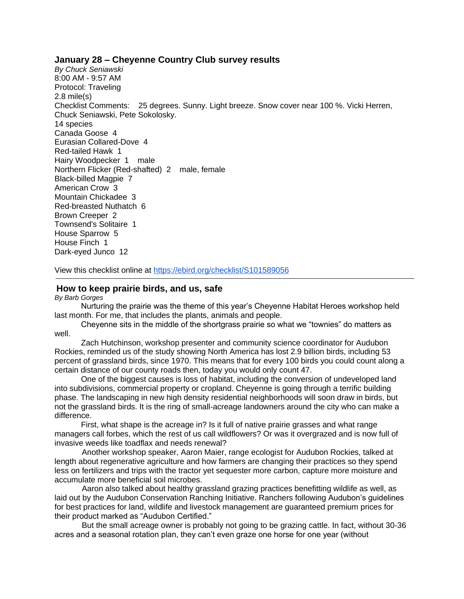#### **January 28 – Cheyenne Country Club survey results**

*By Chuck Seniawski* 8:00 AM - 9:57 AM Protocol: Traveling 2.8 mile(s) Checklist Comments: 25 degrees. Sunny. Light breeze. Snow cover near 100 %. Vicki Herren, Chuck Seniawski, Pete Sokolosky. 14 species Canada Goose 4 Eurasian Collared-Dove 4 Red-tailed Hawk 1 Hairy Woodpecker 1 male Northern Flicker (Red-shafted) 2 male, female Black-billed Magpie 7 American Crow 3 Mountain Chickadee 3 Red-breasted Nuthatch 6 Brown Creeper 2 Townsend's Solitaire 1 House Sparrow 5 House Finch 1 Dark-eyed Junco 12

View this checklist online at <https://ebird.org/checklist/S101589056>

#### **How to keep prairie birds, and us, safe**

*By Barb Gorges*

 Nurturing the prairie was the theme of this year's Cheyenne Habitat Heroes workshop held last month. For me, that includes the plants, animals and people.

 Cheyenne sits in the middle of the shortgrass prairie so what we "townies" do matters as well.

 Zach Hutchinson, workshop presenter and community science coordinator for Audubon Rockies, reminded us of the study showing North America has lost 2.9 billion birds, including 53 percent of grassland birds, since 1970. This means that for every 100 birds you could count along a certain distance of our county roads then, today you would only count 47.

 One of the biggest causes is loss of habitat, including the conversion of undeveloped land into subdivisions, commercial property or cropland. Cheyenne is going through a terrific building phase. The landscaping in new high density residential neighborhoods will soon draw in birds, but not the grassland birds. It is the ring of small-acreage landowners around the city who can make a difference.

 First, what shape is the acreage in? Is it full of native prairie grasses and what range managers call forbes, which the rest of us call wildflowers? Or was it overgrazed and is now full of invasive weeds like toadflax and needs renewal?

Another workshop speaker, Aaron Maier, range ecologist for Audubon Rockies, talked at length about regenerative agriculture and how farmers are changing their practices so they spend less on fertilizers and trips with the tractor yet sequester more carbon, capture more moisture and accumulate more beneficial soil microbes.

Aaron also talked about healthy grassland grazing practices benefitting wildlife as well, as laid out by the Audubon Conservation Ranching Initiative. Ranchers following Audubon's guidelines for best practices for land, wildlife and livestock management are guaranteed premium prices for their product marked as "Audubon Certified."

But the small acreage owner is probably not going to be grazing cattle. In fact, without 30-36 acres and a seasonal rotation plan, they can't even graze one horse for one year (without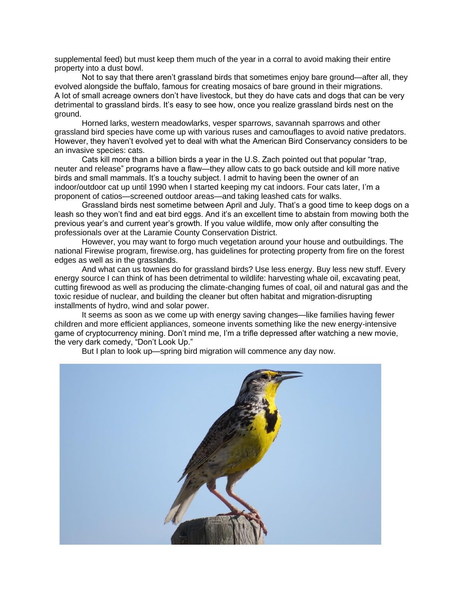supplemental feed) but must keep them much of the year in a corral to avoid making their entire property into a dust bowl.

Not to say that there aren't grassland birds that sometimes enjoy bare ground—after all, they evolved alongside the buffalo, famous for creating mosaics of bare ground in their migrations. A lot of small acreage owners don't have livestock, but they do have cats and dogs that can be very detrimental to grassland birds. It's easy to see how, once you realize grassland birds nest on the ground.

Horned larks, western meadowlarks, vesper sparrows, savannah sparrows and other grassland bird species have come up with various ruses and camouflages to avoid native predators. However, they haven't evolved yet to deal with what the American Bird Conservancy considers to be an invasive species: cats.

Cats kill more than a billion birds a year in the U.S. Zach pointed out that popular "trap, neuter and release" programs have a flaw—they allow cats to go back outside and kill more native birds and small mammals. It's a touchy subject. I admit to having been the owner of an indoor/outdoor cat up until 1990 when I started keeping my cat indoors. Four cats later, I'm a proponent of catios—screened outdoor areas—and taking leashed cats for walks.

Grassland birds nest sometime between April and July. That's a good time to keep dogs on a leash so they won't find and eat bird eggs. And it's an excellent time to abstain from mowing both the previous year's and current year's growth. If you value wildlife, mow only after consulting the professionals over at the Laramie County Conservation District.

However, you may want to forgo much vegetation around your house and outbuildings. The national Firewise program, firewise.org, has guidelines for protecting property from fire on the forest edges as well as in the grasslands.

And what can us townies do for grassland birds? Use less energy. Buy less new stuff. Every energy source I can think of has been detrimental to wildlife: harvesting whale oil, excavating peat, cutting firewood as well as producing the climate-changing fumes of coal, oil and natural gas and the toxic residue of nuclear, and building the cleaner but often habitat and migration-disrupting installments of hydro, wind and solar power.

It seems as soon as we come up with energy saving changes—like families having fewer children and more efficient appliances, someone invents something like the new energy-intensive game of cryptocurrency mining. Don't mind me, I'm a trifle depressed after watching a new movie, the very dark comedy, "Don't Look Up."

But I plan to look up—spring bird migration will commence any day now.